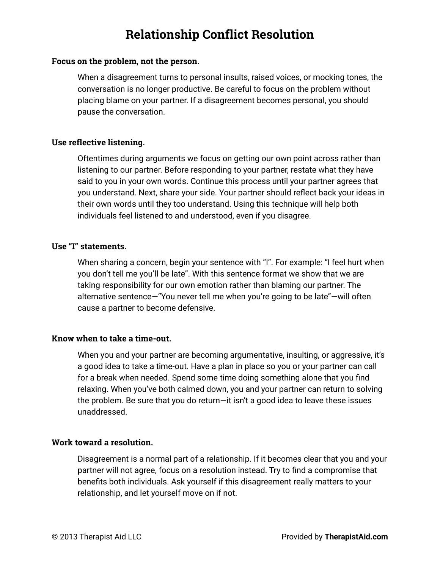## **Relationship Conflict Resolution**

### **Focus on the problem, not the person.**

When a disagreement turns to personal insults, raised voices, or mocking tones, the conversation is no longer productive. Be careful to focus on the problem without placing blame on your partner. If a disagreement becomes personal, you should pause the conversation.

### **Use reflective listening.**

Oftentimes during arguments we focus on getting our own point across rather than listening to our partner. Before responding to your partner, restate what they have said to you in your own words. Continue this process until your partner agrees that you understand. Next, share your side. Your partner should reflect back your ideas in their own words until they too understand. Using this technique will help both individuals feel listened to and understood, even if you disagree.

### **Use "I" statements.**

When sharing a concern, begin your sentence with "I". For example: "I feel hurt when you don't tell me you'll be late". With this sentence format we show that we are taking responsibility for our own emotion rather than blaming our partner. The alternative sentence—"You never tell me when you're going to be late"—will often cause a partner to become defensive.

### **Know when to take a time-out.**

When you and your partner are becoming argumentative, insulting, or aggressive, it's a good idea to take a time-out. Have a plan in place so you or your partner can call for a break when needed. Spend some time doing something alone that you find relaxing. When you've both calmed down, you and your partner can return to solving the problem. Be sure that you do return—it isn't a good idea to leave these issues unaddressed.

### **Work toward a resolution.**

Disagreement is a normal part of a relationship. If it becomes clear that you and your partner will not agree, focus on a resolution instead. Try to find a compromise that benefits both individuals. Ask yourself if this disagreement really matters to your relationship, and let yourself move on if not.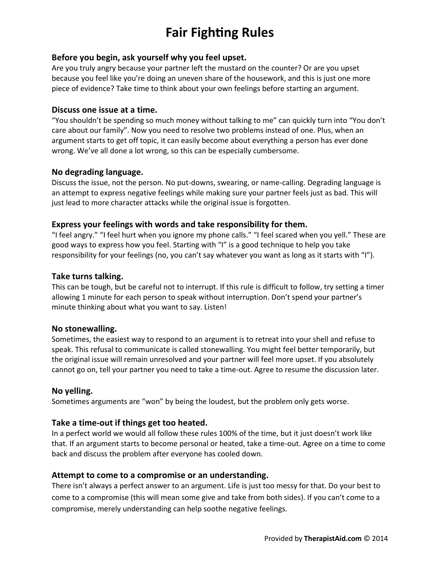# **Fair Fighting Rules**

### **Before you begin, ask yourself why you feel upset.**

Are you truly angry because your partner left the mustard on the counter? Or are you upset because you feel like you're doing an uneven share of the housework, and this is just one more piece of evidence? Take time to think about your own feelings before starting an argument.

#### **Discuss one issue at a time.**

"You shouldn't be spending so much money without talking to me" can quickly turn into "You don't care about our family". Now you need to resolve two problems instead of one. Plus, when an argument starts to get off topic, it can easily become about everything a person has ever done wrong. We've all done a lot wrong, so this can be especially cumbersome.

### **No degrading language.**

Discuss the issue, not the person. No put-downs, swearing, or name-calling. Degrading language is an attempt to express negative feelings while making sure your partner feels just as bad. This will just lead to more character attacks while the original issue is forgotten.

### **Express your feelings with words and take responsibility for them.**

"I feel angry." "I feel hurt when you ignore my phone calls." "I feel scared when you yell." These are good ways to express how you feel. Starting with "I" is a good technique to help you take responsibility for your feelings (no, you can't say whatever you want as long as it starts with "I").

### **Take turns talking.**

This can be tough, but be careful not to interrupt. If this rule is difficult to follow, try setting a timer allowing 1 minute for each person to speak without interruption. Don't spend your partner's minute thinking about what you want to say. Listen!

### **No stonewalling.**

Sometimes, the easiest way to respond to an argument is to retreat into your shell and refuse to speak. This refusal to communicate is called stonewalling. You might feel better temporarily, but the original issue will remain unresolved and your partner will feel more upset. If you absolutely cannot go on, tell your partner you need to take a time-out. Agree to resume the discussion later.

### **No yelling.**

Sometimes arguments are "won" by being the loudest, but the problem only gets worse.

### **Take a time-out if things get too heated.**

In a perfect world we would all follow these rules 100% of the time, but it just doesn't work like that. If an argument starts to become personal or heated, take a time-out. Agree on a time to come back and discuss the problem after everyone has cooled down.

### **Attempt to come to a compromise or an understanding.**

There isn't always a perfect answer to an argument. Life is just too messy for that. Do your best to come to a compromise (this will mean some give and take from both sides). If you can't come to a compromise, merely understanding can help soothe negative feelings.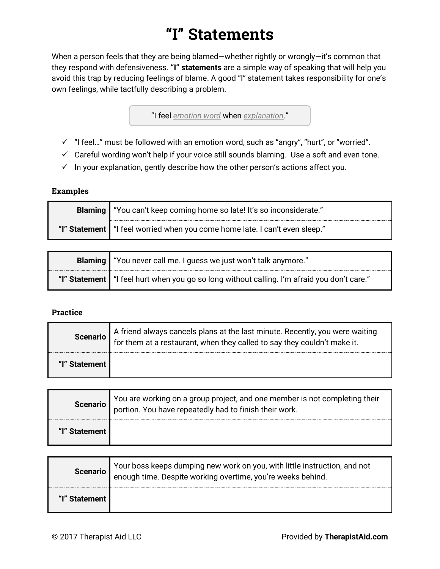# **"I" Statements**

When a person feels that they are being blamed—whether rightly or wrongly—it's common that they respond with defensiveness. **"I" statements** are a simple way of speaking that will help you avoid this trap by reducing feelings of blame. A good "I" statement takes responsibility for one's own feelings, while tactfully describing a problem.

"I feel *emotion word* when *explanation*."

- $\checkmark$  "I feel..." must be followed with an emotion word, such as "angry", "hurt", or "worried".
- $\checkmark$  Careful wording won't help if your voice still sounds blaming. Use a soft and even tone.
- $\checkmark$  In your explanation, gently describe how the other person's actions affect you.

### **Examples**

| Blaming   "You can't keep coming home so late! It's so inconsiderate."        |
|-------------------------------------------------------------------------------|
| "I" Statement   "I feel worried when you come home late. I can't even sleep." |

| Blaming   "You never call me. I guess we just won't talk anymore."                            |  |  |  |
|-----------------------------------------------------------------------------------------------|--|--|--|
| "I" Statement   "I feel hurt when you go so long without calling. I'm afraid you don't care." |  |  |  |

### **Practice**

|               | Scenario A friend always cancels plans at the last minute. Recently, you were waiting<br>for them at a restaurant, when they called to say they couldn't make it. |
|---------------|-------------------------------------------------------------------------------------------------------------------------------------------------------------------|
| "I" Statement |                                                                                                                                                                   |

| <b>Scenario</b> | You are working on a group project, and one member is not completing their portion. You have repeatedly had to finish their work. |
|-----------------|-----------------------------------------------------------------------------------------------------------------------------------|
| "I" Statement I |                                                                                                                                   |

| Scenario      | Your boss keeps dumping new work on you, with little instruction, and not<br>enough time. Despite working overtime, you're weeks behind. |
|---------------|------------------------------------------------------------------------------------------------------------------------------------------|
| "I" Statement |                                                                                                                                          |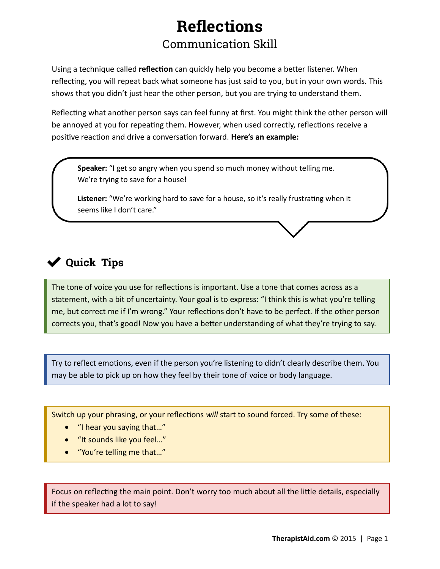# **Reflections** Communication Skill

Using a technique called **reflection** can quickly help you become a better listener. When reflecting, you will repeat back what someone has just said to you, but in your own words. This shows that you didn't just hear the other person, but you are trying to understand them.

Reflecting what another person says can feel funny at first. You might think the other person will be annoyed at you for repeating them. However, when used correctly, reflections receive a positive reaction and drive a conversation forward. **Here's an example:**

**Speaker:** "I get so angry when you spend so much money without telling me. We're trying to save for a house!

**Listener:** "We're working hard to save for a house, so it's really frustrating when it seems like I don't care."

## **Quick Tips**

The tone of voice you use for reflections is important. Use a tone that comes across as a statement, with a bit of uncertainty. Your goal is to express: "I think this is what you're telling me, but correct me if I'm wrong." Your reflections don't have to be perfect. If the other person corrects you, that's good! Now you have a better understanding of what they're trying to say.

Try to reflect emotions, even if the person you're listening to didn't clearly describe them. You may be able to pick up on how they feel by their tone of voice or body language.

Switch up your phrasing, or your reflections *will* start to sound forced. Try some of these:

- "I hear you saying that…"
- "It sounds like you feel…"
- "You're telling me that…"

Focus on reflecting the main point. Don't worry too much about all the little details, especially if the speaker had a lot to say!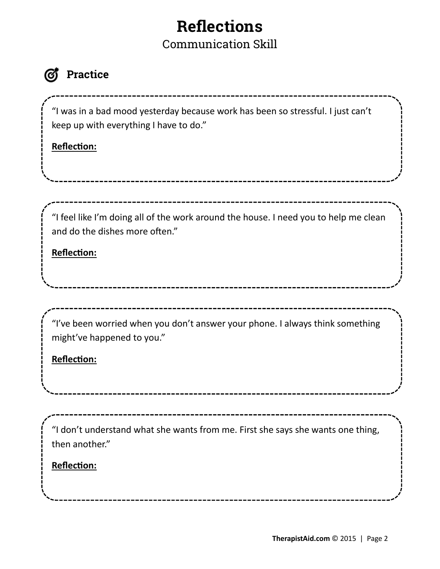# **Reflections**

Communication Skill

## **Practice**

"I was in a bad mood yesterday because work has been so stressful. I just can't keep up with everything I have to do."

## **Reflection:**

"I feel like I'm doing all of the work around the house. I need you to help me clean and do the dishes more often."

## **Reflection:**

"I've been worried when you don't answer your phone. I always think something might've happened to you."

## **Reflection:**

"I don't understand what she wants from me. First she says she wants one thing, then another."

\_\_\_\_\_\_\_\_\_\_

## **Reflection:**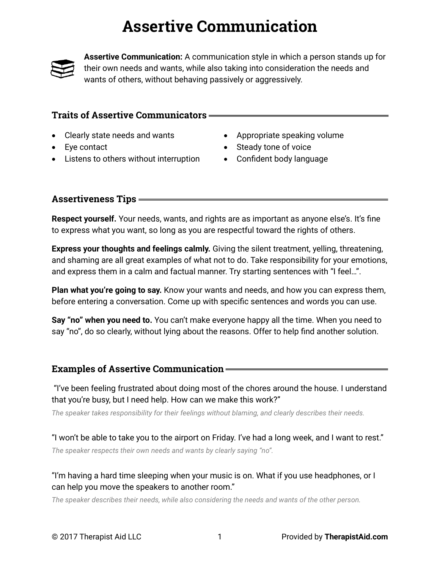# **Assertive Communication**



**Assertive Communication:** A communication style in which a person stands up for their own needs and wants, while also taking into consideration the needs and wants of others, without behaving passively or aggressively.

### **Traits of Assertive Communicators**

- Clearly state needs and wants
- Eye contact
- Listens to others without interruption
- Appropriate speaking volume
- Steady tone of voice
- Confident body language

### **Assertiveness Tips**

**Respect yourself.** Your needs, wants, and rights are as important as anyone else's. It's fine to express what you want, so long as you are respectful toward the rights of others.

**Express your thoughts and feelings calmly.** Giving the silent treatment, yelling, threatening, and shaming are all great examples of what not to do. Take responsibility for your emotions, and express them in a calm and factual manner. Try starting sentences with "I feel…".

**Plan what you're going to say.** Know your wants and needs, and how you can express them, before entering a conversation. Come up with specific sentences and words you can use.

**Say "no" when you need to.** You can't make everyone happy all the time. When you need to say "no", do so clearly, without lying about the reasons. Offer to help find another solution.

### **Examples of Assertive Communication**

"I've been feeling frustrated about doing most of the chores around the house. I understand that you're busy, but I need help. How can we make this work?"

*The speaker takes responsibility for their feelings without blaming, and clearly describes their needs.*

"I won't be able to take you to the airport on Friday. I've had a long week, and I want to rest." *The speaker respects their own needs and wants by clearly saying "no".*

### "I'm having a hard time sleeping when your music is on. What if you use headphones, or I can help you move the speakers to another room."

*The speaker describes their needs, while also considering the needs and wants of the other person.*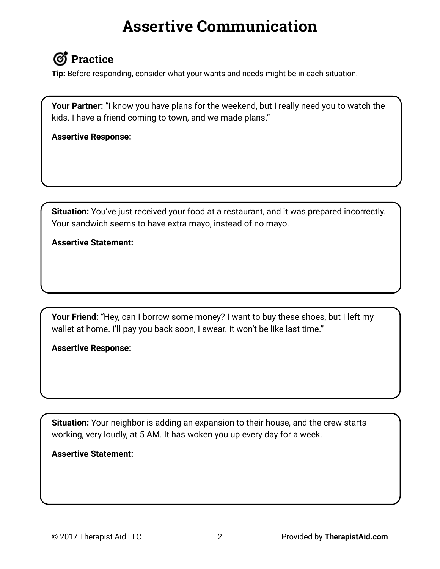# **Assertive Communication**

# **Practice**

**Tip:** Before responding, consider what your wants and needs might be in each situation.

**Your Partner:** "I know you have plans for the weekend, but I really need you to watch the kids. I have a friend coming to town, and we made plans."

**Assertive Response:**

**Situation:** You've just received your food at a restaurant, and it was prepared incorrectly. Your sandwich seems to have extra mayo, instead of no mayo.

### **Assertive Statement:**

**Your Friend:** "Hey, can I borrow some money? I want to buy these shoes, but I left my wallet at home. I'll pay you back soon, I swear. It won't be like last time."

**Assertive Response:**

**Situation:** Your neighbor is adding an expansion to their house, and the crew starts working, very loudly, at 5 AM. It has woken you up every day for a week.

**Assertive Statement:**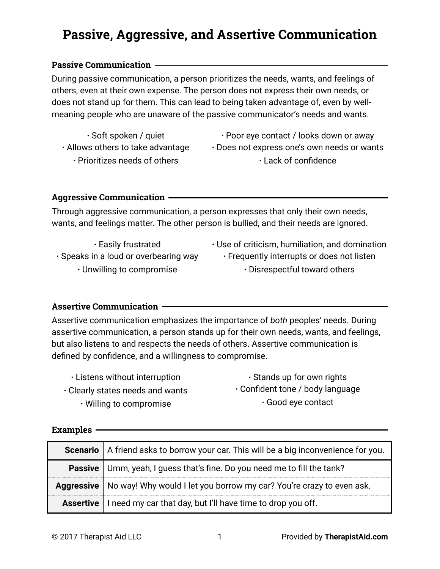# **Passive, Aggressive, and Assertive Communication**

### **Passive Communication**

During passive communication, a person prioritizes the needs, wants, and feelings of others, even at their own expense. The person does not express their own needs, or does not stand up for them. This can lead to being taken advantage of, even by wellmeaning people who are unaware of the passive communicator's needs and wants.

- **·** Soft spoken / quiet **·** Allows others to take advantage **·** Prioritizes needs of others
- **·** Poor eye contact / looks down or away **·** Does not express one's own needs or wants **·** Lack of confidence

### **Aggressive Communication**

Through aggressive communication, a person expresses that only their own needs, wants, and feelings matter. The other person is bullied, and their needs are ignored.

- **·** Easily frustrated
- **·** Use of criticism, humiliation, and domination
- **·** Speaks in a loud or overbearing way
	- **·** Unwilling to compromise
- **·** Frequently interrupts or does not listen **·** Disrespectful toward others
- 

### **Assertive Communication**

Assertive communication emphasizes the importance of *both* peoples' needs. During assertive communication, a person stands up for their own needs, wants, and feelings, but also listens to and respects the needs of others. Assertive communication is defined by confidence, and a willingness to compromise.

- **·** Listens without interruption **·** Clearly states needs and wants **·** Willing to compromise
- **·** Stands up for own rights **·** Confident tone / body language **·** Good eye contact

### **Examples**

| Scenario   A friend asks to borrow your car. This will be a big inconvenience for you. |
|----------------------------------------------------------------------------------------|
| Passive   Umm, yeah, I guess that's fine. Do you need me to fill the tank?             |
| Aggressive   No way! Why would I let you borrow my car? You're crazy to even ask.      |
| <b>Assertive</b>   I need my car that day, but I'll have time to drop you off.         |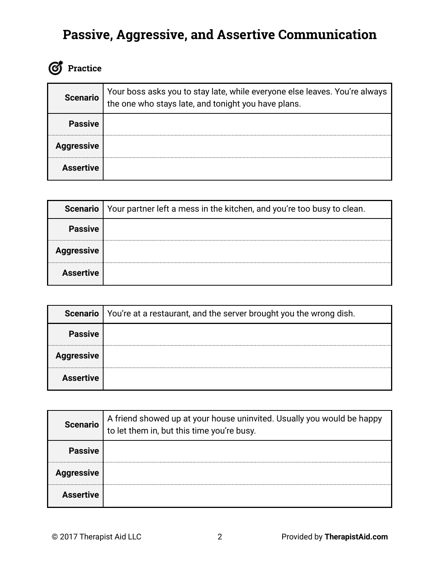# **Passive, Aggressive, and Assertive Communication**

# *C* Practice

| <b>Scenario</b>   | Your boss asks you to stay late, while everyone else leaves. You're always<br>the one who stays late, and tonight you have plans. |
|-------------------|-----------------------------------------------------------------------------------------------------------------------------------|
| <b>Passive</b>    |                                                                                                                                   |
| <b>Aggressive</b> |                                                                                                                                   |
| <b>Assertive</b>  |                                                                                                                                   |

|                   | <b>Scenario</b>   Your partner left a mess in the kitchen, and you're too busy to clean. |  |  |  |  |
|-------------------|------------------------------------------------------------------------------------------|--|--|--|--|
| <b>Passive</b>    |                                                                                          |  |  |  |  |
| <b>Aggressive</b> |                                                                                          |  |  |  |  |
| <b>Assertive</b>  |                                                                                          |  |  |  |  |

| Scenario          | You're at a restaurant, and the server brought you the wrong dish. |  |  |  |  |  |
|-------------------|--------------------------------------------------------------------|--|--|--|--|--|
| <b>Passive</b>    |                                                                    |  |  |  |  |  |
| <b>Aggressive</b> |                                                                    |  |  |  |  |  |
| <b>Assertive</b>  |                                                                    |  |  |  |  |  |

| <b>Scenario</b>   | A friend showed up at your house uninvited. Usually you would be happy<br>to let them in, but this time you're busy. |  |  |  |  |
|-------------------|----------------------------------------------------------------------------------------------------------------------|--|--|--|--|
| <b>Passive</b>    |                                                                                                                      |  |  |  |  |
| <b>Aggressive</b> |                                                                                                                      |  |  |  |  |
| <b>Assertive</b>  |                                                                                                                      |  |  |  |  |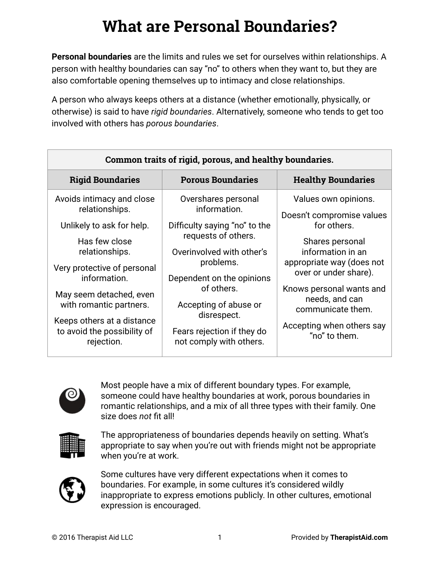# **What are Personal Boundaries?**

**Personal boundaries** are the limits and rules we set for ourselves within relationships. A person with healthy boundaries can say "no" to others when they want to, but they are also comfortable opening themselves up to intimacy and close relationships.

A person who always keeps others at a distance (whether emotionally, physically, or otherwise) is said to have *rigid boundaries*. Alternatively, someone who tends to get too involved with others has *porous boundaries*.

| Common traits of rigid, porous, and healthy boundaries.                                                                                                                                                                                                                                     |                                                                                                                                                                                                                                                                                   |                                                                                                                                                                                                                                                                                 |  |  |
|---------------------------------------------------------------------------------------------------------------------------------------------------------------------------------------------------------------------------------------------------------------------------------------------|-----------------------------------------------------------------------------------------------------------------------------------------------------------------------------------------------------------------------------------------------------------------------------------|---------------------------------------------------------------------------------------------------------------------------------------------------------------------------------------------------------------------------------------------------------------------------------|--|--|
| <b>Rigid Boundaries</b>                                                                                                                                                                                                                                                                     | <b>Porous Boundaries</b>                                                                                                                                                                                                                                                          | <b>Healthy Boundaries</b>                                                                                                                                                                                                                                                       |  |  |
| Avoids intimacy and close<br>relationships.<br>Unlikely to ask for help.<br>Has few close<br>relationships.<br>Very protective of personal<br>information.<br>May seem detached, even<br>with romantic partners.<br>Keeps others at a distance<br>to avoid the possibility of<br>rejection. | Overshares personal<br>information.<br>Difficulty saying "no" to the<br>requests of others.<br>Overinvolved with other's<br>problems.<br>Dependent on the opinions<br>of others.<br>Accepting of abuse or<br>disrespect.<br>Fears rejection if they do<br>not comply with others. | Values own opinions.<br>Doesn't compromise values<br>for others.<br>Shares personal<br>information in an<br>appropriate way (does not<br>over or under share).<br>Knows personal wants and<br>needs, and can<br>communicate them.<br>Accepting when others say<br>"no" to them. |  |  |



Most people have a mix of different boundary types. For example, someone could have healthy boundaries at work, porous boundaries in romantic relationships, and a mix of all three types with their family. One size does *not* fit all!



The appropriateness of boundaries depends heavily on setting. What's appropriate to say when you're out with friends might not be appropriate when you're at work.



Some cultures have very different expectations when it comes to boundaries. For example, in some cultures it's considered wildly inappropriate to express emotions publicly. In other cultures, emotional expression is encouraged.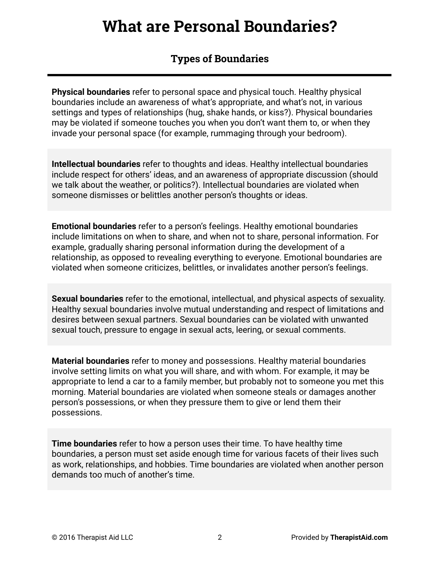# **What are Personal Boundaries?**

## **Types of Boundaries**

**Physical boundaries** refer to personal space and physical touch. Healthy physical boundaries include an awareness of what's appropriate, and what's not, in various settings and types of relationships (hug, shake hands, or kiss?). Physical boundaries may be violated if someone touches you when you don't want them to, or when they invade your personal space (for example, rummaging through your bedroom).

**Intellectual boundaries** refer to thoughts and ideas. Healthy intellectual boundaries include respect for others' ideas, and an awareness of appropriate discussion (should we talk about the weather, or politics?). Intellectual boundaries are violated when someone dismisses or belittles another person's thoughts or ideas.

**Emotional boundaries** refer to a person's feelings. Healthy emotional boundaries include limitations on when to share, and when not to share, personal information. For example, gradually sharing personal information during the development of a relationship, as opposed to revealing everything to everyone. Emotional boundaries are violated when someone criticizes, belittles, or invalidates another person's feelings.

**Sexual boundaries** refer to the emotional, intellectual, and physical aspects of sexuality. Healthy sexual boundaries involve mutual understanding and respect of limitations and desires between sexual partners. Sexual boundaries can be violated with unwanted sexual touch, pressure to engage in sexual acts, leering, or sexual comments.

**Material boundaries** refer to money and possessions. Healthy material boundaries involve setting limits on what you will share, and with whom. For example, it may be appropriate to lend a car to a family member, but probably not to someone you met this morning. Material boundaries are violated when someone steals or damages another person's possessions, or when they pressure them to give or lend them their possessions.

**Time boundaries** refer to how a person uses their time. To have healthy time boundaries, a person must set aside enough time for various facets of their lives such as work, relationships, and hobbies. Time boundaries are violated when another person demands too much of another's time.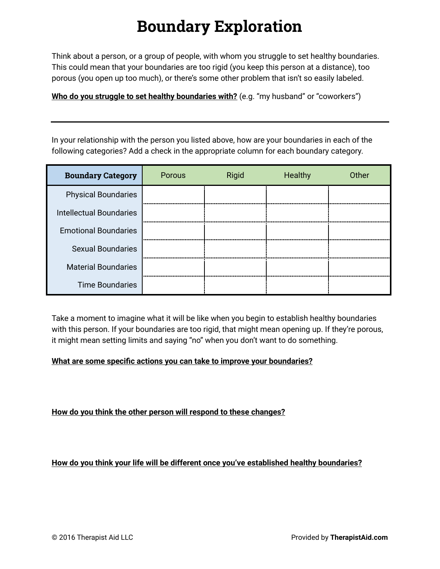# **Boundary Exploration**

Think about a person, or a group of people, with whom you struggle to set healthy boundaries. This could mean that your boundaries are too rigid (you keep this person at a distance), too porous (you open up too much), or there's some other problem that isn't so easily labeled.

**Who do you struggle to set healthy boundaries with?** (e.g. "my husband" or "coworkers")

In your relationship with the person you listed above, how are your boundaries in each of the following categories? Add a check in the appropriate column for each boundary category.

| <b>Boundary Category</b>       | Porous | Rigid | Healthy | Other |
|--------------------------------|--------|-------|---------|-------|
| <b>Physical Boundaries</b>     |        |       |         |       |
| <b>Intellectual Boundaries</b> |        |       |         |       |
| <b>Emotional Boundaries</b>    |        |       |         |       |
| <b>Sexual Boundaries</b>       |        |       |         |       |
| <b>Material Boundaries</b>     |        |       |         |       |
| <b>Time Boundaries</b>         |        |       |         |       |

Take a moment to imagine what it will be like when you begin to establish healthy boundaries with this person. If your boundaries are too rigid, that might mean opening up. If they're porous, it might mean setting limits and saying "no" when you don't want to do something.

### **What are some specific actions you can take to improve your boundaries?**

### **How do you think the other person will respond to these changes?**

**How do you think your life will be different once you've established healthy boundaries?**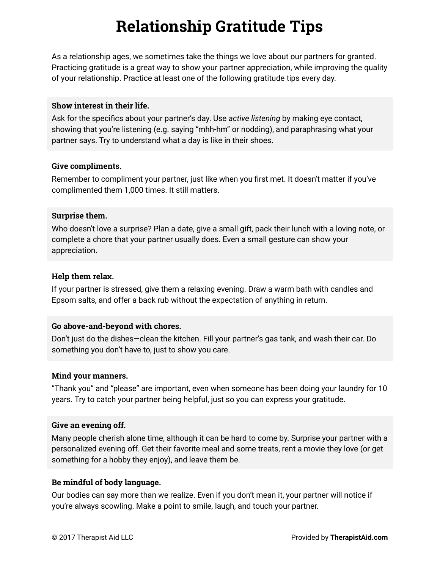# **Relationship Gratitude Tips**

As a relationship ages, we sometimes take the things we love about our partners for granted. Practicing gratitude is a great way to show your partner appreciation, while improving the quality of your relationship. Practice at least one of the following gratitude tips every day.

### **Show interest in their life.**

Ask for the specifics about your partner's day. Use *active listening* by making eye contact, showing that you're listening (e.g. saying "mhh-hm" or nodding), and paraphrasing what your partner says. Try to understand what a day is like in their shoes.

#### **Give compliments.**

Remember to compliment your partner, just like when you first met. It doesn't matter if you've complimented them 1,000 times. It still matters.

### **Surprise them.**

Who doesn't love a surprise? Plan a date, give a small gift, pack their lunch with a loving note, or complete a chore that your partner usually does. Even a small gesture can show your appreciation.

### **Help them relax.**

If your partner is stressed, give them a relaxing evening. Draw a warm bath with candles and Epsom salts, and offer a back rub without the expectation of anything in return.

### **Go above-and-beyond with chores.**

Don't just do the dishes—clean the kitchen. Fill your partner's gas tank, and wash their car. Do something you don't have to, just to show you care.

### **Mind your manners.**

"Thank you" and "please" are important, even when someone has been doing your laundry for 10 years. Try to catch your partner being helpful, just so you can express your gratitude.

### **Give an evening off.**

Many people cherish alone time, although it can be hard to come by. Surprise your partner with a personalized evening off. Get their favorite meal and some treats, rent a movie they love (or get something for a hobby they enjoy), and leave them be.

### **Be mindful of body language.**

Our bodies can say more than we realize. Even if you don't mean it, your partner will notice if you're always scowling. Make a point to smile, laugh, and touch your partner.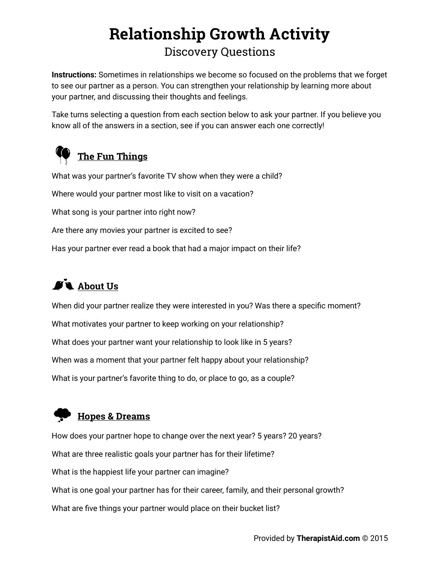# **Relationship Growth Activity** Discovery Questions

**Instructions:** Sometimes in relationships we become so focused on the problems that we forget to see our partner as a person. You can strengthen your relationship by learning more about your partner, and discussing their thoughts and feelings.

Take turns selecting a question from each section below to ask your partner. If you believe you know all of the answers in a section, see if you can answer each one correctly!



What was your partner's favorite TV show when they were a child? Where would your partner most like to visit on a vacation? What song is your partner into right now? Are there any movies your partner is excited to see? Has your partner ever read a book that had a major impact on their life?

# $\mathbf{A}$ **About Us**

When did your partner realize they were interested in you? Was there a specific moment? What motivates your partner to keep working on your relationship? What does your partner want your relationship to look like in 5 years? When was a moment that your partner felt happy about your relationship? What is your partner's favorite thing to do, or place to go, as a couple?

## **Hopes & Dreams**

How does your partner hope to change over the next year? 5 years? 20 years? What are three realistic goals your partner has for their lifetime? What is the happiest life your partner can imagine? What is one goal your partner has for their career, family, and their personal growth? What are five things your partner would place on their bucket list?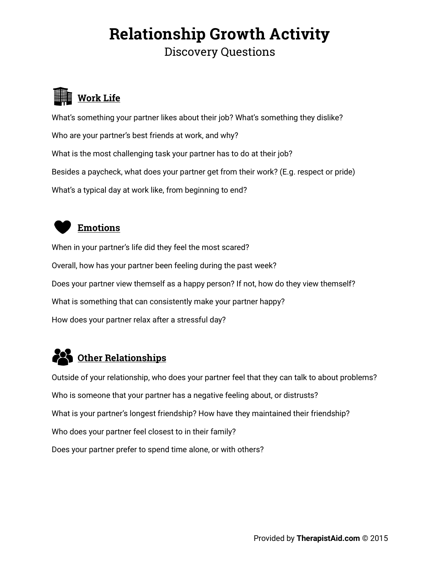# **Relationship Growth Activity** Discovery Questions

# **Work Life**

What's something your partner likes about their job? What's something they dislike? Who are your partner's best friends at work, and why? What is the most challenging task your partner has to do at their job? Besides a paycheck, what does your partner get from their work? (E.g. respect or pride) What's a typical day at work like, from beginning to end?



### **Emotions**

When in your partner's life did they feel the most scared? Overall, how has your partner been feeling during the past week? Does your partner view themself as a happy person? If not, how do they view themself? What is something that can consistently make your partner happy? How does your partner relax after a stressful day?

# **Other Relationships**

Outside of your relationship, who does your partner feel that they can talk to about problems? Who is someone that your partner has a negative feeling about, or distrusts? What is your partner's longest friendship? How have they maintained their friendship? Who does your partner feel closest to in their family? Does your partner prefer to spend time alone, or with others?